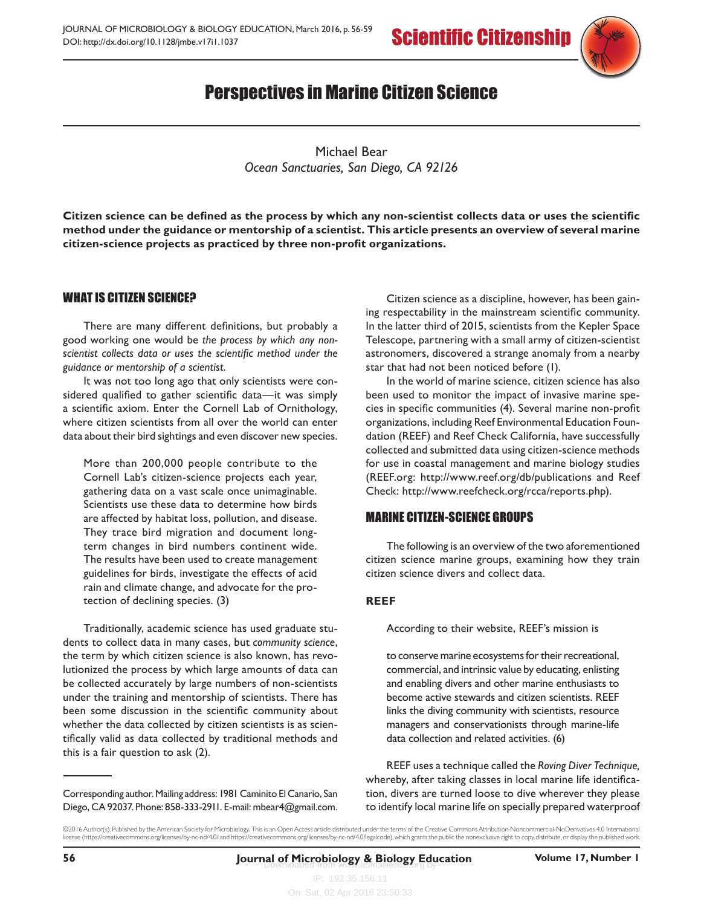

# Perspectives in Marine Citizen Science

Michael Bear *Ocean Sanctuaries, San Diego, CA 92126*

**Citizen science can be defined as the process by which any non-scientist collects data or uses the scientific method under the guidance or mentorship of a scientist. This article presents an overview of several marine citizen-science projects as practiced by three non-profit organizations.** 

## WHAT IS CITIZEN SCIENCE?

There are many different definitions, but probably a good working one would be *the process by which any nonscientist collects data or uses the scientific method under the guidance or mentorship of a scientist.* 

It was not too long ago that only scientists were considered qualified to gather scientific data—it was simply a scientific axiom. Enter the Cornell Lab of Ornithology, where citizen scientists from all over the world can enter data about their bird sightings and even discover new species.

More than 200,000 people contribute to the Cornell Lab's citizen-science projects each year, gathering data on a vast scale once unimaginable. Scientists use these data to determine how birds are affected by habitat loss, pollution, and disease. They trace bird migration and document longterm changes in bird numbers continent wide. The results have been used to create management guidelines for birds, investigate the effects of acid rain and climate change, and advocate for the protection of declining species. (3)

Traditionally, academic science has used graduate students to collect data in many cases, but *community science*, the term by which citizen science is also known, has revolutionized the process by which large amounts of data can be collected accurately by large numbers of non-scientists under the training and mentorship of scientists. There has been some discussion in the scientific community about whether the data collected by citizen scientists is as scientifically valid as data collected by traditional methods and this is a fair question to ask (2).

Citizen science as a discipline, however, has been gaining respectability in the mainstream scientific community. In the latter third of 2015, scientists from the Kepler Space Telescope, partnering with a small army of citizen-scientist astronomers, discovered a strange anomaly from a nearby star that had not been noticed before (1).

In the world of marine science, citizen science has also been used to monitor the impact of invasive marine species in specific communities (4). Several marine non-profit organizations, including Reef Environmental Education Foundation (REEF) and Reef Check California, have successfully collected and submitted data using citizen-science methods for use in coastal management and marine biology studies ([REEF.org:](REEF.org) <http://www.reef.org/db/publications> and Reef Check:<http://www.reefcheck.org/rcca/reports.php>).

### MARINE CITIZEN-SCIENCE GROUPS

The following is an overview of the two aforementioned citizen science marine groups, examining how they train citizen science divers and collect data.

### **REEF**

According to their website, REEF's mission is

to conserve marine ecosystems for their recreational, commercial, and intrinsic value by educating, enlisting and enabling divers and other marine enthusiasts to become active stewards and citizen scientists. REEF links the diving community with scientists, resource managers and conservationists through marine-life data collection and related activities. (6)

REEF uses a technique called the *Roving Diver Technique,* whereby, after taking classes in local marine life identification, divers are turned loose to dive wherever they please to identify local marine life on specially prepared waterproof

Corresponding author. Mailing address: 1981 Caminito El Canario, San Diego, CA 92037. Phone: 858-333-2911. E-mail: [mbear4@gmail.com](mailto:mbear4@gmail.com).

<sup>©2016</sup> Author(s). Published by the American Society for Microbiology. This is an Open Access article distributed under the terms of the Creative Commons Attribution-Noncommercial-NoDerivatives 4.0 International<br>license (htt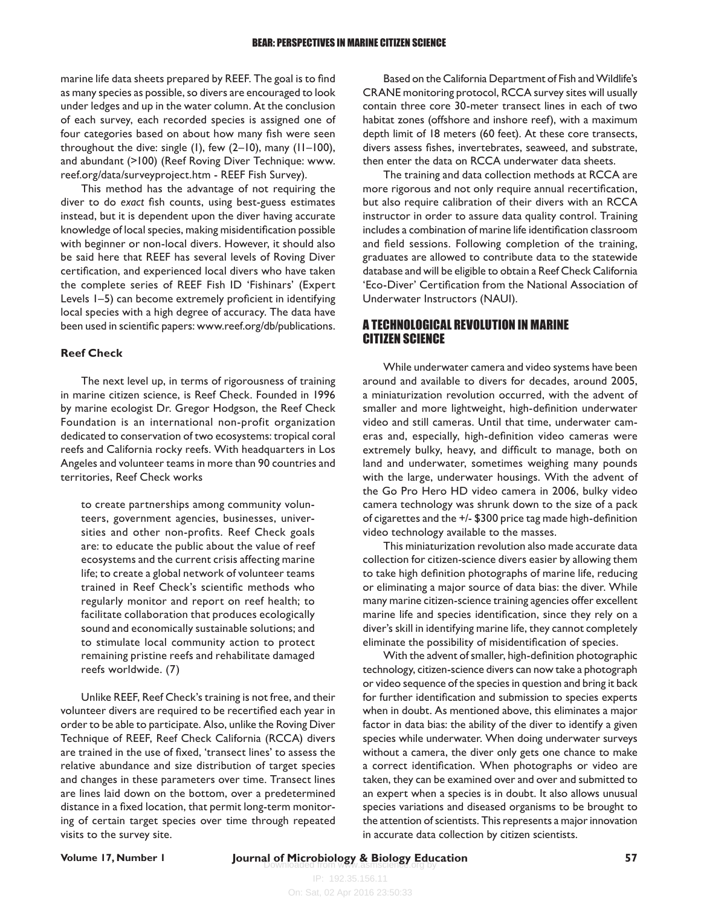marine life data sheets prepared by REEF. The goal is to find as many species as possible, so divers are encouraged to look under ledges and up in the water column. At the conclusion of each survey, each recorded species is assigned one of four categories based on about how many fish were seen throughout the dive: single (1), few (2–10), many (11–100), and abundant (>100) (Reef Roving Diver Technique: www. reef.org/data/surveyproject.htm - REEF Fish Survey).

This method has the advantage of not requiring the diver to do *exact* fish counts, using best-guess estimates instead, but it is dependent upon the diver having accurate knowledge of local species, making misidentification possible with beginner or non-local divers. However, it should also be said here that REEF has several levels of Roving Diver certification, and experienced local divers who have taken the complete series of REEF Fish ID 'Fishinars' (Expert Levels 1–5) can become extremely proficient in identifying local species with a high degree of accuracy. The data have been used in scientific papers: [www.reef.org/db/publications.](http://www.reef.org/db/publications)

### **Reef Check**

The next level up, in terms of rigorousness of training in marine citizen science, is Reef Check. Founded in 1996 by marine ecologist Dr. Gregor Hodgson, the Reef Check Foundation is an international non-profit organization dedicated to conservation of two ecosystems: tropical coral reefs and California rocky reefs. With headquarters in Los Angeles and volunteer teams in more than 90 countries and territories, Reef Check works

to create partnerships among community volunteers, government agencies, businesses, universities and other non-profits. Reef Check goals are: to educate the public about the value of reef ecosystems and the current crisis affecting marine life; to create a global network of volunteer teams trained in Reef Check's scientific methods who regularly monitor and report on reef health; to facilitate collaboration that produces ecologically sound and economically sustainable solutions; and to stimulate local community action to protect remaining pristine reefs and rehabilitate damaged reefs worldwide. (7)

Unlike REEF, Reef Check's training is not free, and their volunteer divers are required to be recertified each year in order to be able to participate. Also, unlike the Roving Diver Technique of REEF, Reef Check California (RCCA) divers are trained in the use of fixed, 'transect lines' to assess the relative abundance and size distribution of target species and changes in these parameters over time. Transect lines are lines laid down on the bottom, over a predetermined distance in a fixed location, that permit long-term monitoring of certain target species over time through repeated visits to the survey site.

Based on the California Department of Fish and Wildlife's CRANE monitoring protocol, RCCA survey sites will usually contain three core 30-meter transect lines in each of two habitat zones (offshore and inshore reef), with a maximum depth limit of 18 meters (60 feet). At these core transects, divers assess fishes, invertebrates, seaweed, and substrate, then enter the data on RCCA underwater data sheets.

The training and data collection methods at RCCA are more rigorous and not only require annual recertification, but also require calibration of their divers with an RCCA instructor in order to assure data quality control. Training includes a combination of marine life identification classroom and field sessions. Following completion of the training, graduates are allowed to contribute data to the statewide database and will be eligible to obtain a Reef Check California 'Eco-Diver' Certification from the National Association of Underwater Instructors (NAUI).

### A TECHNOLOGICAL REVOLUTION IN MARINE CITIZEN SCIENCE

While underwater camera and video systems have been around and available to divers for decades, around 2005, a miniaturization revolution occurred, with the advent of smaller and more lightweight, high-definition underwater video and still cameras. Until that time, underwater cameras and, especially, high-definition video cameras were extremely bulky, heavy, and difficult to manage, both on land and underwater, sometimes weighing many pounds with the large, underwater housings. With the advent of the Go Pro Hero HD video camera in 2006, bulky video camera technology was shrunk down to the size of a pack of cigarettes and the +/- \$300 price tag made high-definition video technology available to the masses.

This miniaturization revolution also made accurate data collection for citizen*-*science divers easier by allowing them to take high definition photographs of marine life, reducing or eliminating a major source of data bias: the diver. While many marine citizen-science training agencies offer excellent marine life and species identification, since they rely on a diver's skill in identifying marine life, they cannot completely eliminate the possibility of misidentification of species.

With the advent of smaller, high-definition photographic technology, citizen-science divers can now take a photograph or video sequence of the species in question and bring it back for further identification and submission to species experts when in doubt. As mentioned above, this eliminates a major factor in data bias: the ability of the diver to identify a given species while underwater. When doing underwater surveys without a camera, the diver only gets one chance to make a correct identification. When photographs or video are taken, they can be examined over and over and submitted to an expert when a species is in doubt. It also allows unusual species variations and diseased organisms to be brought to the attention of scientists. This represents a major innovation in accurate data collection by citizen scientists.

# **Volume 17, Number 1 [27] Journal of Microbiology & Biology Education <b>17, Number 1 57 57**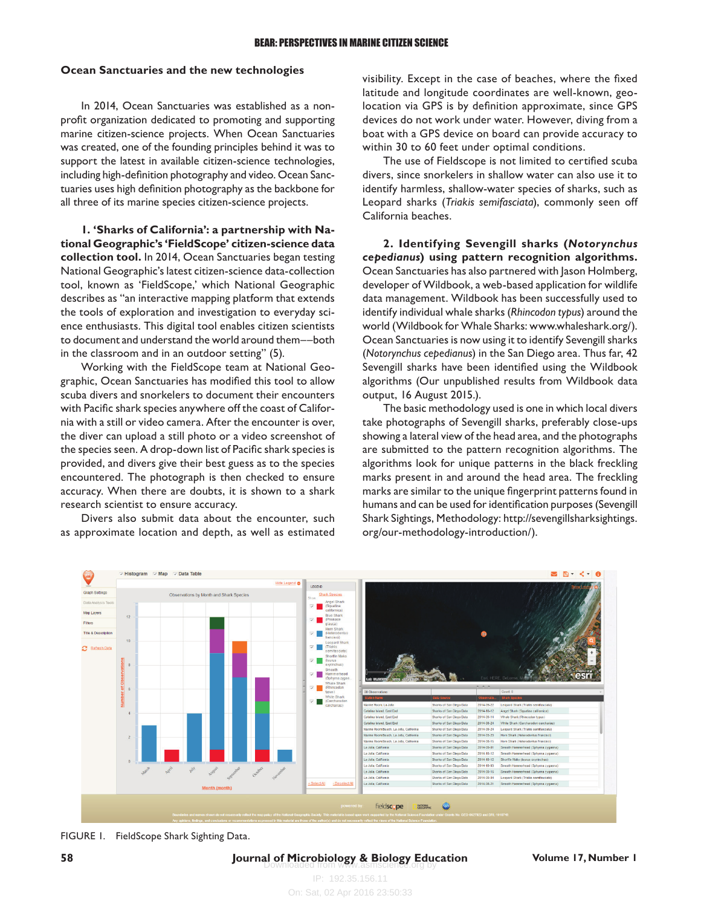#### **Ocean Sanctuaries and the new technologies**

In 2014, Ocean Sanctuaries was established as a nonprofit organization dedicated to promoting and supporting marine citizen-science projects. When Ocean Sanctuaries was created, one of the founding principles behind it was to support the latest in available citizen-science technologies, including high-definition photography and video. Ocean Sanctuaries uses high definition photography as the backbone for all three of its marine species citizen-science projects.

**1. 'Sharks of California': a partnership with National Geographic's 'FieldScope' citizen-science data collection tool.** In 2014, Ocean Sanctuaries began testing National Geographic's latest citizen-science data-collection tool, known as 'FieldScope,' which National Geographic describes as "an interactive mapping platform that extends the tools of exploration and investigation to everyday science enthusiasts. This digital tool enables citizen scientists to document and understand the world around them––both in the classroom and in an outdoor setting" (5)*.* 

Working with the FieldScope team at National Geographic, Ocean Sanctuaries has modified this tool to allow scuba divers and snorkelers to document their encounters with Pacific shark species anywhere off the coast of California with a still or video camera. After the encounter is over, the diver can upload a still photo or a video screenshot of the species seen. A drop-down list of Pacific shark species is provided, and divers give their best guess as to the species encountered. The photograph is then checked to ensure accuracy. When there are doubts, it is shown to a shark research scientist to ensure accuracy.

Divers also submit data about the encounter, such as approximate location and depth, as well as estimated visibility. Except in the case of beaches, where the fixed latitude and longitude coordinates are well-known, geolocation via GPS is by definition approximate, since GPS devices do not work under water. However, diving from a boat with a GPS device on board can provide accuracy to within 30 to 60 feet under optimal conditions.

The use of Fieldscope is not limited to certified scuba divers, since snorkelers in shallow water can also use it to identify harmless, shallow-water species of sharks, such as Leopard sharks (*Triakis semifasciata*), commonly seen off California beaches.

**2. Identifying Sevengill sharks (***Notorynchus cepedianus***) using pattern recognition algorithms.**  Ocean Sanctuaries has also partnered with Jason Holmberg, developer of Wildbook, a web-based application for wildlife data management. Wildbook has been successfully used to identify individual whale sharks (*Rhincodon typus*) around the world (Wildbook for Whale Sharks: [www.whaleshark.org/\)](http://www.whaleshark.org/). Ocean Sanctuaries is now using it to identify Sevengill sharks (*Notorynchus cepedianus*) in the San Diego area. Thus far, 42 Sevengill sharks have been identified using the Wildbook algorithms (Our unpublished results from Wildbook data output, 16 August 2015.).

The basic methodology used is one in which local divers take photographs of Sevengill sharks, preferably close-ups showing a lateral view of the head area, and the photographs are submitted to the pattern recognition algorithms. The algorithms look for unique patterns in the black freckling marks present in and around the head area. The freckling marks are similar to the unique fingerprint patterns found in humans and can be used for identification purposes (Sevengill Shark Sightings, Methodology: [http://sevengillsharksightings.](http://sevengillsharksightings.org/our-methodology-introduction/) [org/our-methodology-introduction/](http://sevengillsharksightings.org/our-methodology-introduction/)).



FIGURE 1. FieldScope Shark Sighting Data.